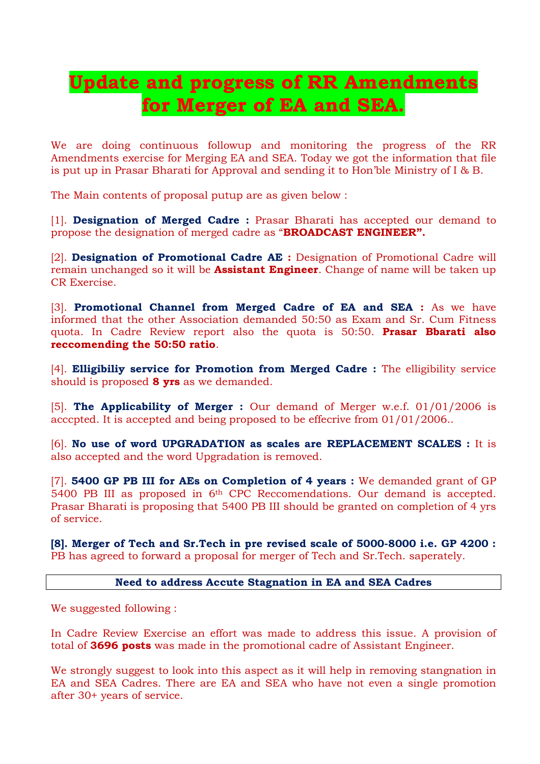# **Update and progress of RR Amendments for Merger of EA and SEA.**

We are doing continuous followup and monitoring the progress of the RR Amendments exercise for Merging EA and SEA. Today we got the information that file is put up in Prasar Bharati for Approval and sending it to Hon'ble Ministry of I & B.

The Main contents of proposal putup are as given below :

[1]. **Designation of Merged Cadre :** Prasar Bharati has accepted our demand to propose the designation of merged cadre as "**BROADCAST ENGINEER".** 

[2]. **Designation of Promotional Cadre AE :** Designation of Promotional Cadre will remain unchanged so it will be **Assistant Engineer**. Change of name will be taken up CR Exercise.

[3]. **Promotional Channel from Merged Cadre of EA and SEA :** As we have informed that the other Association demanded 50:50 as Exam and Sr. Cum Fitness quota. In Cadre Review report also the quota is 50:50. **Prasar Bbarati also reccomending the 50:50 ratio**.

[4]. **Elligibiliy service for Promotion from Merged Cadre :** The elligibility service should is proposed **8 yrs** as we demanded.

[5]. **The Applicability of Merger :** Our demand of Merger w.e.f. 01/01/2006 is acccpted. It is accepted and being proposed to be effecrive from 01/01/2006..

[6]. **No use of word UPGRADATION as scales are REPLACEMENT SCALES :** It is also accepted and the word Upgradation is removed.

[7]. **5400 GP PB III for AEs on Completion of 4 years :** We demanded grant of GP 5400 PB III as proposed in 6th CPC Reccomendations. Our demand is accepted. Prasar Bharati is proposing that 5400 PB III should be granted on completion of 4 yrs of service.

**[8]. Merger of Tech and Sr.Tech in pre revised scale of 5000-8000 i.e. GP 4200 :** PB has agreed to forward a proposal for merger of Tech and Sr.Tech. saperately.

#### **Need to address Accute Stagnation in EA and SEA Cadres**

We suggested following :

In Cadre Review Exercise an effort was made to address this issue. A provision of total of **3696 posts** was made in the promotional cadre of Assistant Engineer.

We strongly suggest to look into this aspect as it will help in removing stangnation in EA and SEA Cadres. There are EA and SEA who have not even a single promotion after 30+ years of service.